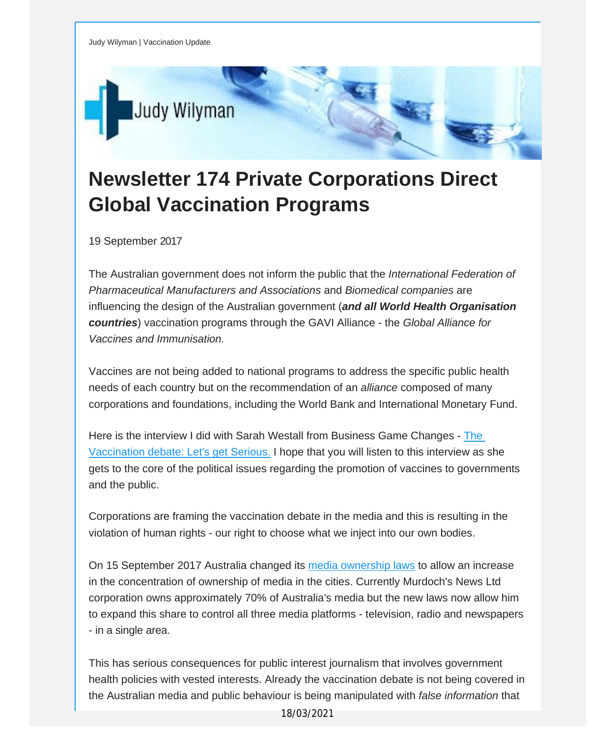

## **Newsletter 174 Private Corporations Direct Global Vaccination Programs**

19 September 2017

The Australian government does not inform the public that the *International Federation of Pharmaceutical Manufacturers and Associations* and *Biomedical companies* are influencing the design of the Australian government (*and all World Health Organisation countries*) vaccination programs through the GAVI Alliance - the *Global Alliance for Vaccines and Immunisation.*

Vaccines are not being added to national programs to address the specific public health needs of each country but on the recommendation of an *alliance* composed of many corporations and foundations, including the World Bank and International Monetary Fund.

Here is the interview I did with Sarah Westall from Business Game Changes - [The](http://vaccinationdecisions.us8.list-manage.com/track/click?u=f20605fde3732e41929f4a3f2&id=45f5349669&e=fec8337d3c) [Vaccination](http://vaccinationdecisions.us8.list-manage.com/track/click?u=f20605fde3732e41929f4a3f2&id=45f5349669&e=fec8337d3c) debate: Let's get Serious. I hope that you will listen to this interview as she gets to the core of the political issues regarding the promotion of vaccines to governments and the public.

Corporations are framing the vaccination debate in the media and this is resulting in the violation of human rights - our right to choose what we inject into our own bodies.

On 15 September 2017 Australia changed its media [ownership](http://vaccinationdecisions.us8.list-manage2.com/track/click?u=f20605fde3732e41929f4a3f2&id=cd8f4140dd&e=fec8337d3c) laws to allow an increase in the concentration of ownership of media in the cities. Currently Murdoch's News Ltd corporation owns approximately 70% of Australia's media but the new laws now allow him to expand this share to control all three media platforms - television, radio and newspapers - in a single area.

This has serious consequences for public interest journalism that involves government health policies with vested interests. Already the vaccination debate is not being covered in the Australian media and public behaviour is being manipulated with *false information* that

18/03/2021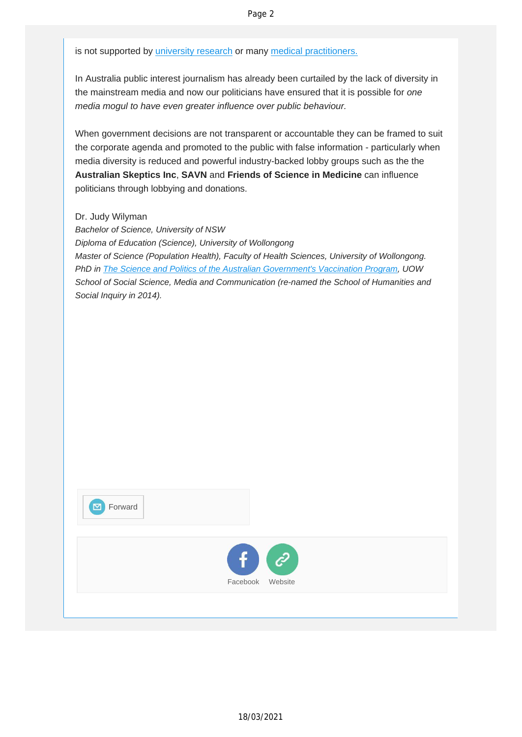is not supported by *[university](http://vaccinationdecisions.us8.list-manage.com/track/click?u=f20605fde3732e41929f4a3f2&id=6729e7d795&e=fec8337d3c) research* or many medical [practitioners.](http://vaccinationdecisions.us8.list-manage.com/track/click?u=f20605fde3732e41929f4a3f2&id=af56e6bbc1&e=fec8337d3c)

In Australia public interest journalism has already been curtailed by the lack of diversity in the mainstream media and now our politicians have ensured that it is possible for *one media mogul to have even greater influence over public behaviour.*

When government decisions are not transparent or accountable they can be framed to suit the corporate agenda and promoted to the public with false information - particularly when media diversity is reduced and powerful industry-backed lobby groups such as the the **Australian Skeptics Inc**, **SAVN** and **Friends of Science in Medicine** can influence politicians through lobbying and donations.

Dr. Judy Wilyman

*Bachelor of Science, University of NSW Diploma of Education (Science), University of Wollongong Master of Science (Population Health), Faculty of Health Sciences, University of Wollongong. PhD in The Science and Politics of the Australian [Government's](http://vaccinationdecisions.us8.list-manage.com/track/click?u=f20605fde3732e41929f4a3f2&id=5538ea2b4f&e=fec8337d3c) Vaccination Program, UOW School of Social Science, Media and Communication (re-named the School of Humanities and Social Inquiry in 2014).*